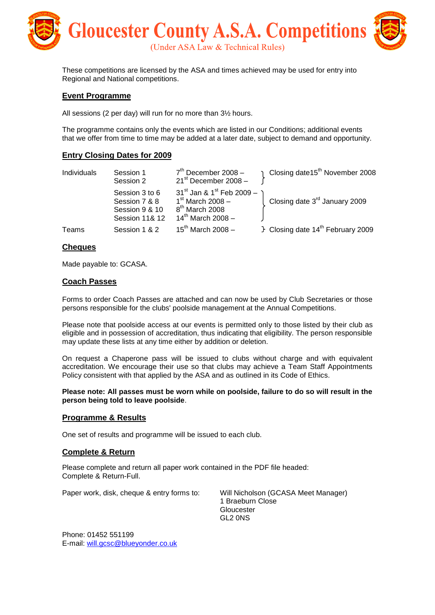

These competitions are licensed by the ASA and times achieved may be used for entry into Regional and National competitions.

#### **Event Programme**

All sessions (2 per day) will run for no more than 3½ hours.

The programme contains only the events which are listed in our Conditions; additional events that we offer from time to time may be added at a later date, subject to demand and opportunity.

#### **Entry Closing Dates for 2009**

| Individuals | Session 1<br>Session 2                                                         | $7th$ December 2008 -<br>$21st$ December 2008 -                                                                          | Closing date15 <sup>th</sup> November 2008    |
|-------------|--------------------------------------------------------------------------------|--------------------------------------------------------------------------------------------------------------------------|-----------------------------------------------|
|             | Session 3 to 6<br>Session 7 & 8<br>Session 9 & 10<br><b>Session 11&amp; 12</b> | $31^{st}$ Jan & 1 <sup>st</sup> Feb 2009 -<br>$1st$ March 2008 -<br>8 <sup>th</sup> March 2008<br>$14^{th}$ March 2008 – | Closing date 3 <sup>rd</sup> January 2009     |
| Teams       | Session 1 & 2                                                                  | $15^{th}$ March 2008 -                                                                                                   | F Closing date 14 <sup>th</sup> February 2009 |

#### **Cheques**

Made payable to: GCASA.

#### **Coach Passes**

Forms to order Coach Passes are attached and can now be used by Club Secretaries or those persons responsible for the clubs' poolside management at the Annual Competitions.

Please note that poolside access at our events is permitted only to those listed by their club as eligible and in possession of accreditation, thus indicating that eligibility. The person responsible may update these lists at any time either by addition or deletion.

On request a Chaperone pass will be issued to clubs without charge and with equivalent accreditation. We encourage their use so that clubs may achieve a Team Staff Appointments Policy consistent with that applied by the ASA and as outlined in its Code of Ethics.

**Please note: All passes must be worn while on poolside, failure to do so will result in the person being told to leave poolside**.

#### **Programme & Results**

One set of results and programme will be issued to each club.

#### **Complete & Return**

Please complete and return all paper work contained in the PDF file headed: Complete & Return-Full.

Paper work, disk, cheque & entry forms to: Will Nicholson (GCASA Meet Manager)

1 Braeburn Close Gloucester GL2 0NS

Phone: 01452 551199 E-mail: [will.gcsc@blueyonder.co.uk](mailto:will.gcsc@blueyonder.co.uk)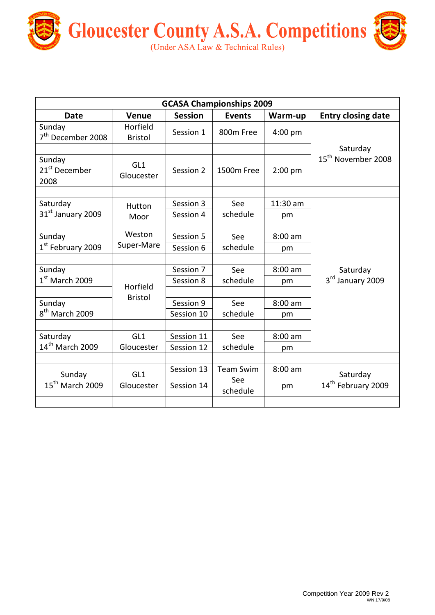

| <b>GCASA Championships 2009</b>             |                            |                          |                                     |                 |                                            |  |
|---------------------------------------------|----------------------------|--------------------------|-------------------------------------|-----------------|--------------------------------------------|--|
| <b>Date</b>                                 | Venue                      | <b>Session</b>           | <b>Events</b>                       | Warm-up         | <b>Entry closing date</b>                  |  |
| Sunday<br>7 <sup>th</sup> December 2008     | Horfield<br><b>Bristol</b> | Session 1                | 800m Free                           | $4:00$ pm       |                                            |  |
| Sunday<br>21 <sup>st</sup> December<br>2008 | GL1<br>Gloucester          | Session 2                | 1500m Free                          | $2:00$ pm       | Saturday<br>15 <sup>th</sup> November 2008 |  |
| Saturday<br>31 <sup>st</sup> January 2009   | Hutton<br>Moor             | Session 3<br>Session 4   | See<br>schedule                     | 11:30 am<br>pm  |                                            |  |
| Sunday<br>1 <sup>st</sup> February 2009     | Weston<br>Super-Mare       | Session 5<br>Session 6   | See<br>schedule                     | $8:00$ am<br>pm |                                            |  |
| Sunday<br>$1st$ March 2009                  | Horfield                   | Session 7<br>Session 8   | See<br>schedule                     | $8:00$ am<br>pm | Saturday<br>3rd January 2009               |  |
| Sunday<br>8 <sup>th</sup> March 2009        | <b>Bristol</b>             | Session 9<br>Session 10  | See<br>schedule                     | $8:00$ am<br>pm |                                            |  |
| Saturday<br>14 <sup>th</sup> March 2009     | GL1<br>Gloucester          | Session 11<br>Session 12 | See<br>schedule                     | $8:00$ am<br>pm |                                            |  |
| Sunday<br>$15^{th}$ March 2009              | GL1<br>Gloucester          | Session 13<br>Session 14 | <b>Team Swim</b><br>See<br>schedule | $8:00$ am<br>pm | Saturday<br>14 <sup>th</sup> February 2009 |  |
|                                             |                            |                          |                                     |                 |                                            |  |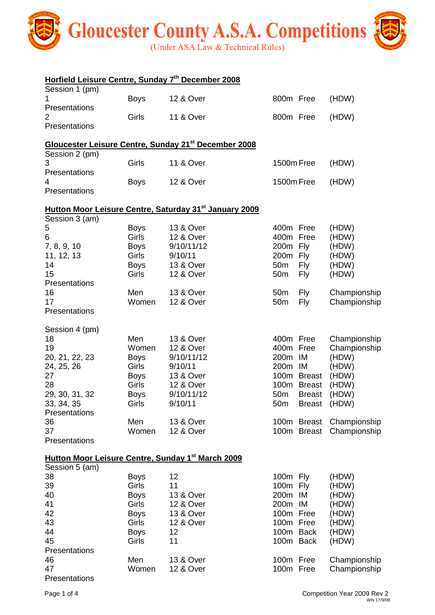

| Horfield Leisure Centre, Sunday 7th December 2008                               |              |                                                                        |                 |               |                          |
|---------------------------------------------------------------------------------|--------------|------------------------------------------------------------------------|-----------------|---------------|--------------------------|
| Session 1 (pm)                                                                  |              |                                                                        |                 |               |                          |
| 1                                                                               | <b>Boys</b>  | 12 & Over                                                              | 800m Free       |               | (HDW)                    |
| Presentations<br>2                                                              | Girls        | <b>11 &amp; Over</b>                                                   | 800m Free       |               | (HDW)                    |
| Presentations                                                                   |              |                                                                        |                 |               |                          |
|                                                                                 |              |                                                                        |                 |               |                          |
|                                                                                 |              | <b>Gloucester Leisure Centre, Sunday 21<sup>st</sup> December 2008</b> |                 |               |                          |
| Session 2 (pm)<br>3                                                             | Girls        | <b>11 &amp; Over</b>                                                   | 1500m Free      |               | (HDW)                    |
| Presentations                                                                   |              |                                                                        |                 |               |                          |
| 4                                                                               | <b>Boys</b>  | 12 & Over                                                              | 1500m Free      |               | (HDW)                    |
| Presentations                                                                   |              |                                                                        |                 |               |                          |
|                                                                                 |              | Hutton Moor Leisure Centre, Saturday 31 <sup>st</sup> January 2009     |                 |               |                          |
| Session 3 (am)                                                                  |              |                                                                        |                 |               |                          |
| 5                                                                               | <b>Boys</b>  | 13 & Over                                                              | 400m Free       |               | (HDW)                    |
| 6                                                                               | <b>Girls</b> | <b>12 &amp; Over</b>                                                   | 400m            | Free          | (HDW)                    |
| 7, 8, 9, 10                                                                     | <b>Boys</b>  | 9/10/11/12                                                             | 200m            | Fly           | (HDW)                    |
| 11, 12, 13                                                                      | Girls        | 9/10/11                                                                | 200m Fly        |               | (HDW)                    |
| 14                                                                              | <b>Boys</b>  | 13 & Over                                                              | 50 <sub>m</sub> | <b>Fly</b>    | (HDW)                    |
| 15                                                                              | Girls        | 12 & Over                                                              | 50 <sub>m</sub> | Fly           | (HDW)                    |
| Presentations                                                                   |              |                                                                        |                 |               |                          |
| 16                                                                              | Men          | 13 & Over                                                              | 50 <sub>m</sub> | Fly           | Championship             |
| 17                                                                              | Women        | <b>12 &amp; Over</b>                                                   | 50 <sub>m</sub> | Fly           | Championship             |
| Presentations                                                                   |              |                                                                        |                 |               |                          |
| Session 4 (pm)                                                                  |              |                                                                        |                 |               |                          |
| 18                                                                              | Men          | <b>13 &amp; Over</b>                                                   | 400m Free       |               | Championship             |
| 19                                                                              | Women        | 12 & Over                                                              | 400m Free       |               | Championship             |
| 20, 21, 22, 23                                                                  | <b>Boys</b>  | 9/10/11/12                                                             | 200m            | IM            | (HDW)                    |
| 24, 25, 26                                                                      | <b>Girls</b> | 9/10/11                                                                | 200m IM         |               | (HDW)                    |
| 27                                                                              | <b>Boys</b>  | 13 & Over                                                              |                 | 100m Breast   | (HDW)                    |
| 28                                                                              | Girls        | 12 & Over                                                              | 100m            | <b>Breast</b> | (HDW)                    |
| 29, 30, 31, 32                                                                  | <b>Boys</b>  | 9/10/11/12                                                             | 50 <sub>m</sub> | <b>Breast</b> | (HDW)                    |
| 33, 34, 35                                                                      | Girls        | 9/10/11                                                                | 50 <sub>m</sub> |               | Breast (HDW)             |
| Presentations                                                                   |              |                                                                        |                 |               |                          |
| 36                                                                              | Men          | 13 & Over                                                              |                 |               | 100m Breast Championship |
| 37                                                                              | Women        | 12 & Over                                                              |                 |               | 100m Breast Championship |
| Presentations                                                                   |              |                                                                        |                 |               |                          |
|                                                                                 |              |                                                                        |                 |               |                          |
| Hutton Moor Leisure Centre, Sunday 1 <sup>st</sup> March 2009<br>Session 5 (am) |              |                                                                        |                 |               |                          |
| 38                                                                              | <b>Boys</b>  | 12                                                                     | 100m Fly        |               | (HDW)                    |
| 39                                                                              | <b>Girls</b> | 11                                                                     | 100m Fly        |               | (HDW)                    |
| 40                                                                              | <b>Boys</b>  | 13 & Over                                                              | 200m IM         |               | (HDW)                    |
| 41                                                                              | Girls        | 12 & Over                                                              | 200m IM         |               | (HDW)                    |
| 42                                                                              | <b>Boys</b>  | 13 & Over                                                              | 100m Free       |               | (HDW)                    |
| 43                                                                              | Girls        | 12 & Over                                                              | 100m Free       |               | (HDW)                    |
| 44                                                                              | <b>Boys</b>  | 12                                                                     |                 | 100m Back     | (HDW)                    |
| 45                                                                              | Girls        | 11                                                                     |                 | 100m Back     | (HDW)                    |
| Presentations                                                                   |              |                                                                        |                 |               |                          |
| 46                                                                              | Men          | 13 & Over                                                              | 100m Free       |               | Championship             |
|                                                                                 |              |                                                                        |                 |               |                          |

47 Women 12 & Over 100m Free Championship

Presentations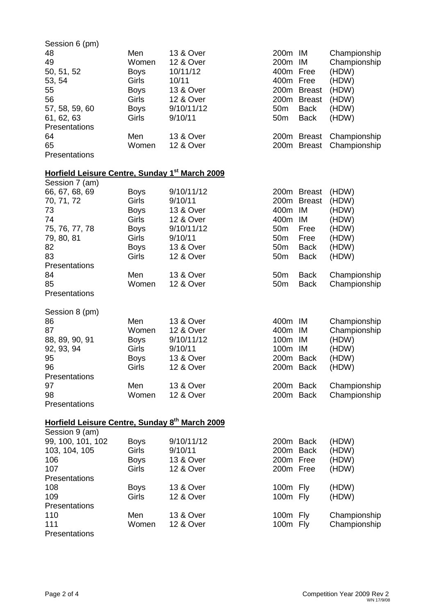| Session 6 (pm)                                             |                             |                                    |                                    |                     |                                       |
|------------------------------------------------------------|-----------------------------|------------------------------------|------------------------------------|---------------------|---------------------------------------|
| 48<br>49<br>50, 51, 52                                     | Men<br>Women<br><b>Boys</b> | 13 & Over<br>12 & Over<br>10/11/12 | 200m IM<br>200m<br>400m            | IM<br>Free          | Championship<br>Championship<br>(HDW) |
| 53, 54                                                     | <b>Girls</b>                | 10/11                              | 400m Free                          |                     | (HDW)                                 |
| 55                                                         | <b>Boys</b>                 | 13 & Over                          | 200m                               | <b>Breast</b>       | (HDW)                                 |
| 56                                                         | Girls                       | 12 & Over                          | 200m                               | <b>Breast</b>       | (HDW)                                 |
| 57, 58, 59, 60                                             | <b>Boys</b>                 | 9/10/11/12                         | 50 <sub>m</sub>                    | <b>Back</b>         | (HDW)                                 |
| 61, 62, 63<br>Presentations                                | <b>Girls</b>                | 9/10/11                            | 50 <sub>m</sub>                    | Back                | (HDW)                                 |
| 64                                                         | Men                         | 13 & Over                          |                                    | 200m Breast         | Championship                          |
| 65                                                         | Women                       | <b>12 &amp; Over</b>               | 200m                               | <b>Breast</b>       | Championship                          |
| Presentations                                              |                             |                                    |                                    |                     |                                       |
| Horfield Leisure Centre, Sunday 1 <sup>st</sup> March 2009 |                             |                                    |                                    |                     |                                       |
| Session 7 (am)                                             |                             |                                    |                                    |                     |                                       |
| 66, 67, 68, 69                                             | <b>Boys</b>                 | 9/10/11/12                         |                                    | 200m Breast         | (HDW)                                 |
| 70, 71, 72                                                 | Girls                       | 9/10/11                            | 200m                               | <b>Breast</b>       | (HDW)                                 |
| 73                                                         | <b>Boys</b>                 | 13 & Over                          | 400m                               | IM                  | (HDW)                                 |
| 74                                                         | Girls                       | 12 & Over                          | 400m                               | IM                  | (HDW)                                 |
| 75, 76, 77, 78                                             | <b>Boys</b><br>Girls        | 9/10/11/12<br>9/10/11              | 50 <sub>m</sub><br>50 <sub>m</sub> | Free                | (HDW)                                 |
| 79, 80, 81                                                 |                             | 13 & Over                          | 50 <sub>m</sub>                    | Free<br><b>Back</b> | (HDW)<br>(HDW)                        |
| 82<br>83                                                   | <b>Boys</b><br>Girls        | 12 & Over                          | 50 <sub>m</sub>                    |                     |                                       |
| Presentations                                              |                             |                                    |                                    | <b>Back</b>         | (HDW)                                 |
| 84                                                         | Men                         | 13 & Over                          | 50 <sub>m</sub>                    | <b>Back</b>         | Championship                          |
| 85                                                         | Women                       | 12 & Over                          | 50 <sub>m</sub>                    | <b>Back</b>         | Championship                          |
| Presentations                                              |                             |                                    |                                    |                     |                                       |
| Session 8 (pm)                                             |                             |                                    |                                    |                     |                                       |
| 86                                                         | Men                         | 13 & Over                          | 400m                               | IM                  | Championship                          |
| 87                                                         | Women                       | 12 & Over                          | 400m                               | IM                  | Championship                          |
| 88, 89, 90, 91                                             | <b>Boys</b>                 | 9/10/11/12                         | 100m                               | IM                  | (HDW)                                 |
| 92, 93, 94                                                 | Girls                       | 9/10/11                            | 100m                               | IM                  | (HDW)                                 |
| 95                                                         | <b>Boys</b>                 | 13 & Over                          | 200m Back                          |                     | (HDW)                                 |
| 96                                                         | Girls                       | 12 & Over                          |                                    | 200m Back           | (HDW)                                 |
| Presentations                                              |                             |                                    |                                    |                     |                                       |
| 97                                                         | Men                         | 13 & Over                          |                                    | 200m Back           | Championship                          |
| 98                                                         | Women                       | 12 & Over                          |                                    | 200m Back           | Championship                          |
| Presentations                                              |                             |                                    |                                    |                     |                                       |
| Horfield Leisure Centre, Sunday 8th March 2009             |                             |                                    |                                    |                     |                                       |
| Session 9 (am)                                             |                             |                                    |                                    |                     |                                       |
| 99, 100, 101, 102                                          | <b>Boys</b>                 | 9/10/11/12                         | 200m Back                          |                     | (HDW)                                 |
| 103, 104, 105                                              | Girls                       | 9/10/11                            | 200m Back                          |                     | (HDW)                                 |
| 106                                                        | <b>Boys</b>                 | 13 & Over                          | 200m Free                          |                     | (HDW)                                 |
| 107                                                        | Girls                       | 12 & Over                          | 200m Free                          |                     | (HDW)                                 |
| Presentations                                              |                             |                                    |                                    |                     |                                       |
| 108<br>109                                                 | <b>Boys</b><br><b>Girls</b> | 13 & Over                          | 100m Fly                           |                     | (HDW)                                 |
|                                                            |                             | 12 & Over                          | 100m Fly                           |                     | (HDW)                                 |
| Presentations<br>110                                       | Men                         | 13 & Over                          | 100m Fly                           |                     | Championship                          |
| 111                                                        | Women                       | 12 & Over                          | 100m Fly                           |                     | Championship                          |
| Presentations                                              |                             |                                    |                                    |                     |                                       |
|                                                            |                             |                                    |                                    |                     |                                       |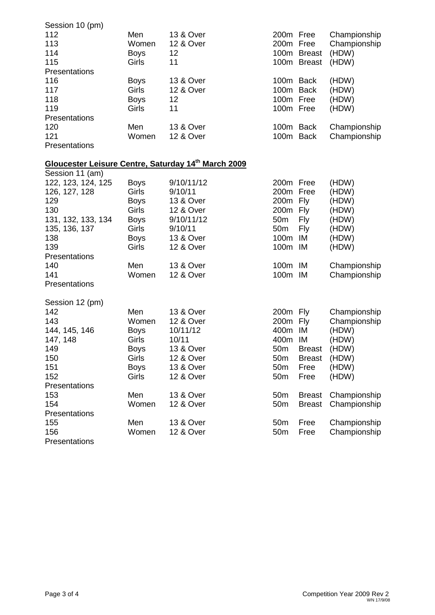| Session 10 (pm)    |             |                                                     |                  |               |              |
|--------------------|-------------|-----------------------------------------------------|------------------|---------------|--------------|
| 112                | Men         | 13 & Over                                           | 200m Free        |               | Championship |
| 113                | Women       | 12 & Over                                           | 200 <sub>m</sub> | Free          | Championship |
| 114                | <b>Boys</b> | 12                                                  |                  | 100m Breast   | (HDW)        |
| 115                | Girls       | 11                                                  |                  | 100m Breast   | (HDW)        |
| Presentations      |             |                                                     |                  |               |              |
| 116                | <b>Boys</b> | 13 & Over                                           | 100m Back        |               | (HDW)        |
| 117                | Girls       | 12 & Over                                           | 100m Back        |               | (HDW)        |
| 118                | <b>Boys</b> | 12                                                  | 100m Free        |               | (HDW)        |
| 119                | Girls       | 11                                                  | 100m Free        |               | (HDW)        |
| Presentations      |             |                                                     |                  |               |              |
| 120                | Men         | 13 & Over                                           | 100m Back        |               | Championship |
| 121                | Women       | <b>12 &amp; Over</b>                                | 100m Back        |               | Championship |
| Presentations      |             |                                                     |                  |               |              |
|                    |             |                                                     |                  |               |              |
|                    |             | Gloucester Leisure Centre, Saturday 14th March 2009 |                  |               |              |
| Session 11 (am)    |             |                                                     |                  |               |              |
| 122, 123, 124, 125 | <b>Boys</b> | 9/10/11/12                                          | 200m Free        |               | (HDW)        |
| 126, 127, 128      | Girls       | 9/10/11                                             | 200m Free        |               | (HDW)        |
| 129                | <b>Boys</b> | 13 & Over                                           | 200m             | Fly           | (HDW)        |
| 130                | Girls       | 12 & Over                                           | 200m             | Fly           | (HDW)        |
| 131, 132, 133, 134 | <b>Boys</b> | 9/10/11/12                                          | 50 <sub>m</sub>  | <b>Fly</b>    | (HDW)        |
| 135, 136, 137      | Girls       | 9/10/11                                             | 50 <sub>m</sub>  | Fly           | (HDW)        |
| 138                | <b>Boys</b> | <b>13 &amp; Over</b>                                | 100m             | ΙM            | (HDW)        |
| 139                | Girls       | 12 & Over                                           | 100m             | ΙM            | (HDW)        |
| Presentations      |             |                                                     |                  |               |              |
| 140                | Men         | 13 & Over                                           | 100m             | IM            | Championship |
| 141                | Women       | <b>12 &amp; Over</b>                                | 100m IM          |               | Championship |
| Presentations      |             |                                                     |                  |               |              |
|                    |             |                                                     |                  |               |              |
| Session 12 (pm)    |             |                                                     |                  |               |              |
| 142                | Men         | 13 & Over                                           | 200m Fly         |               | Championship |
| 143                | Women       | 12 & Over                                           | 200m             | Fly           | Championship |
| 144, 145, 146      | <b>Boys</b> | 10/11/12                                            | 400m             | IM            | (HDW)        |
| 147, 148           | Girls       | 10/11                                               | 400m             | IM            | (HDW)        |
| 149                | <b>Boys</b> | 13 & Over                                           | 50m              | <b>Breast</b> | (HDW)        |
| 150                | Girls       | 12 & Over                                           | 50 <sub>m</sub>  | <b>Breast</b> | (HDW)        |
| 151                | <b>Boys</b> | 13 & Over                                           | 50 <sub>m</sub>  | Free          | (HDW)        |
| 152                | Girls       | <b>12 &amp; Over</b>                                | 50 <sub>m</sub>  | Free          | (HDW)        |
| Presentations      |             |                                                     |                  |               |              |
| 153                | Men         | 13 & Over                                           | 50 <sub>m</sub>  | <b>Breast</b> | Championship |
| 154                | Women       | <b>12 &amp; Over</b>                                | 50 <sub>m</sub>  | <b>Breast</b> | Championship |
| Presentations      |             |                                                     |                  |               |              |
| 155                | Men         | 13 & Over                                           | 50 <sub>m</sub>  | Free          | Championship |
| 156                | Women       | 12 & Over                                           | 50 <sub>m</sub>  | Free          | Championship |
| Presentations      |             |                                                     |                  |               |              |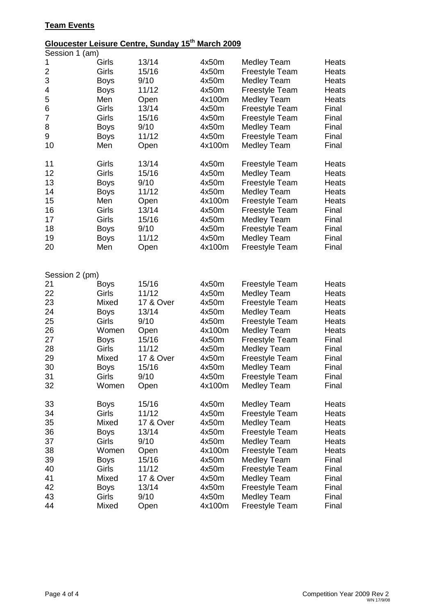### **Team Events**

# **Gloucester Leisure Centre, Sunday 15th March 2009**

| Session 1 (am) |             |           |        |                       |       |
|----------------|-------------|-----------|--------|-----------------------|-------|
| 1              | Girls       | 13/14     | 4x50m  | <b>Medley Team</b>    | Heats |
| 2              | Girls       | 15/16     | 4x50m  | <b>Freestyle Team</b> | Heats |
| 3              | <b>Boys</b> | 9/10      | 4x50m  | <b>Medley Team</b>    | Heats |
| 4              | <b>Boys</b> | 11/12     | 4x50m  | <b>Freestyle Team</b> | Heats |
| 5              | Men         | Open      | 4x100m | <b>Medley Team</b>    | Heats |
| 6              | Girls       | 13/14     | 4x50m  | <b>Freestyle Team</b> | Final |
| 7              | Girls       | 15/16     | 4x50m  | <b>Freestyle Team</b> | Final |
| 8              | <b>Boys</b> | 9/10      | 4x50m  | <b>Medley Team</b>    | Final |
| 9              | <b>Boys</b> | 11/12     | 4x50m  | <b>Freestyle Team</b> | Final |
| 10             | Men         | Open      | 4x100m | <b>Medley Team</b>    | Final |
|                |             |           |        |                       |       |
| 11             | Girls       | 13/14     | 4x50m  | <b>Freestyle Team</b> | Heats |
| 12             | Girls       | 15/16     | 4x50m  | <b>Medley Team</b>    | Heats |
| 13             | <b>Boys</b> | 9/10      | 4x50m  | Freestyle Team        | Heats |
| 14             | <b>Boys</b> | 11/12     | 4x50m  | <b>Medley Team</b>    | Heats |
| 15             | Men         | Open      | 4x100m | <b>Freestyle Team</b> | Heats |
| 16             | Girls       | 13/14     | 4x50m  | <b>Freestyle Team</b> | Final |
| 17             | Girls       | 15/16     | 4x50m  | <b>Medley Team</b>    | Final |
| 18             | <b>Boys</b> | 9/10      | 4x50m  | <b>Freestyle Team</b> | Final |
| 19             | <b>Boys</b> | 11/12     | 4x50m  | <b>Medley Team</b>    | Final |
| 20             | Men         | Open      | 4x100m | <b>Freestyle Team</b> | Final |
|                |             |           |        |                       |       |
| Session 2 (pm) |             |           |        |                       |       |
| 21             | <b>Boys</b> | 15/16     | 4x50m  | <b>Freestyle Team</b> | Heats |
| 22             | Girls       | 11/12     | 4x50m  | <b>Medley Team</b>    | Heats |
| 23             | Mixed       | 17 & Over | 4x50m  | <b>Freestyle Team</b> | Heats |
| 24             | <b>Boys</b> | 13/14     | 4x50m  | <b>Medley Team</b>    | Heats |
| 25             | Girls       | 9/10      | 4x50m  | <b>Freestyle Team</b> | Heats |
| 26             | Women       | Open      | 4x100m | <b>Medley Team</b>    | Heats |
| 27             | <b>Boys</b> | 15/16     | 4x50m  | Freestyle Team        | Final |
| 28             | Girls       | 11/12     | 4x50m  | Medley Team           | Final |
| 29             | Mixed       | 17 & Over | 4x50m  | Freestyle Team        | Final |
| 30             | <b>Boys</b> | 15/16     | 4x50m  | <b>Medley Team</b>    | Final |
| 31             | Girls       | 9/10      | 4x50m  | <b>Freestyle Team</b> | Final |
| 32             | Women       | Open      | 4x100m | <b>Medley Team</b>    | Final |
| 33             | <b>Boys</b> | 15/16     | 4x50m  | <b>Medley Team</b>    | Heats |
| 34             | Girls       | 11/12     | 4x50m  | <b>Freestyle Team</b> | Heats |
| 35             | Mixed       | 17 & Over | 4x50m  | <b>Medley Team</b>    | Heats |
| 36             | <b>Boys</b> | 13/14     | 4x50m  | Freestyle Team        | Heats |
| 37             | Girls       | 9/10      | 4x50m  | Medley Team           | Heats |
| 38             | Women       | Open      | 4x100m | <b>Freestyle Team</b> | Heats |
| 39             | <b>Boys</b> | 15/16     | 4x50m  | <b>Medley Team</b>    | Final |
| 40             | Girls       | 11/12     | 4x50m  | <b>Freestyle Team</b> | Final |
| 41             | Mixed       | 17 & Over | 4x50m  | <b>Medley Team</b>    | Final |
| 42             | <b>Boys</b> | 13/14     | 4x50m  | <b>Freestyle Team</b> | Final |
| 43             | Girls       | 9/10      | 4x50m  | <b>Medley Team</b>    | Final |
| 44             | Mixed       | Open      | 4x100m | <b>Freestyle Team</b> | Final |
|                |             |           |        |                       |       |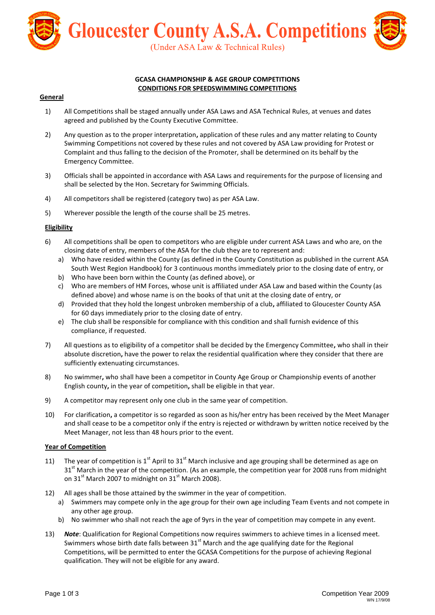

#### **GCASA CHAMPIONSHIP & AGE GROUP COMPETITIONS CONDITIONS FOR SPEEDSWIMMING COMPETITIONS**

#### **General**

- 1) All Competitions shall be staged annually under ASA Laws and ASA Technical Rules, at venues and dates agreed and published by the County Executive Committee.
- 2) Any question as to the proper interpretation**,** application of these rules and any matter relating to County Swimming Competitions not covered by these rules and not covered by ASA Law providing for Protest or Complaint and thus falling to the decision of the Promoter, shall be determined on its behalf by the Emergency Committee.
- 3) Officials shall be appointed in accordance with ASA Laws and requirements for the purpose of licensing and shall be selected by the Hon. Secretary for Swimming Officials.
- 4) All competitors shall be registered (category two) as per ASA Law.
- 5) Wherever possible the length of the course shall be 25 metres.

#### **Eligibility**

- 6) All competitions shall be open to competitors who are eligible under current ASA Laws and who are, on the closing date of entry, members of the ASA for the club they are to represent and:
	- a) Who have resided within the County (as defined in the County Constitution as published in the current ASA South West Region Handbook) for 3 continuous months immediately prior to the closing date of entry, or
	- b) Who have been born within the County (as defined above), or
	- c) Who are members of HM Forces, whose unit is affiliated under ASA Law and based within the County (as defined above) and whose name is on the books of that unit at the closing date of entry, or
	- d) Provided that they hold the longest unbroken membership of a club**,** affiliated to Gloucester County ASA for 60 days immediately prior to the closing date of entry.
	- e) The club shall be responsible for compliance with this condition and shall furnish evidence of this compliance, if requested.
- 7) All questions as to eligibility of a competitor shall be decided by the Emergency Committee**,** who shall in their absolute discretion**,** have the power to relax the residential qualification where they consider that there are sufficiently extenuating circumstances.
- 8) No swimmer**,** who shall have been a competitor in County Age Group or Championship events of another English county**,** in the year of competition**,** shall be eligible in that year.
- 9) A competitor may represent only one club in the same year of competition.
- 10) For clarification**,** a competitor is so regarded as soon as his/her entry has been received by the Meet Manager and shall cease to be a competitor only if the entry is rejected or withdrawn by written notice received by the Meet Manager, not less than 48 hours prior to the event.

#### **Year of Competition**

- 11) The year of competition is 1<sup>st</sup> April to 31<sup>st</sup> March inclusive and age grouping shall be determined as age on  $31<sup>st</sup>$  March in the year of the competition. (As an example, the competition year for 2008 runs from midnight on 31st March 2007 to midnight on  $31<sup>st</sup>$  March 2008).
- 12) All ages shall be those attained by the swimmer in the year of competition.
	- a) Swimmers may compete only in the age group for their own age including Team Events and not compete in any other age group.
	- b) No swimmer who shall not reach the age of 9yrs in the year of competition may compete in any event.
- 13) *Note*: Qualification for Regional Competitions now requires swimmers to achieve times in a licensed meet. Swimmers whose birth date falls between  $31<sup>st</sup>$  March and the age qualifying date for the Regional Competitions, will be permitted to enter the GCASA Competitions for the purpose of achieving Regional qualification. They will not be eligible for any award.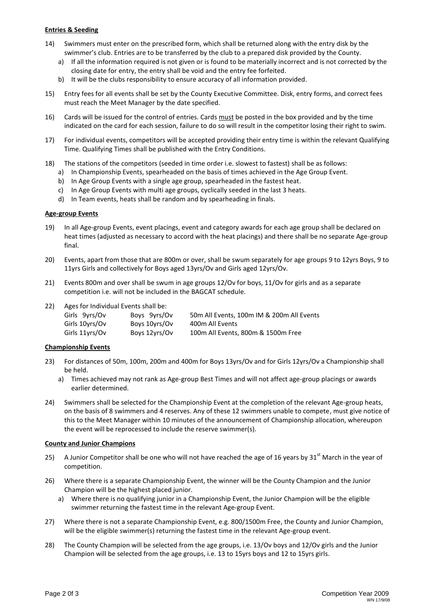#### **Entries & Seeding**

- 14) Swimmers must enter on the prescribed form, which shall be returned along with the entry disk by the swimmer's club. Entries are to be transferred by the club to a prepared disk provided by the County.
	- a) If all the information required is not given or is found to be materially incorrect and is not corrected by the closing date for entry, the entry shall be void and the entry fee forfeited.
	- b) It will be the clubs responsibility to ensure accuracy of all information provided.
- 15) Entry fees for all events shall be set by the County Executive Committee. Disk, entry forms, and correct fees must reach the Meet Manager by the date specified.
- 16) Cards will be issued for the control of entries. Cards must be posted in the box provided and by the time indicated on the card for each session, failure to do so will result in the competitor losing their right to swim.
- 17) For individual events, competitors will be accepted providing their entry time is within the relevant Qualifying Time. Qualifying Times shall be published with the Entry Conditions.
- 18) The stations of the competitors (seeded in time order i.e. slowest to fastest) shall be as follows:
	- a) In Championship Events, spearheaded on the basis of times achieved in the Age Group Event.
	- b) In Age Group Events with a single age group, spearheaded in the fastest heat.
	- c) In Age Group Events with multi age groups, cyclically seeded in the last 3 heats.
	- d) In Team events, heats shall be random and by spearheading in finals.

#### **Age-group Events**

- 19) In all Age-group Events, event placings, event and category awards for each age group shall be declared on heat times (adjusted as necessary to accord with the heat placings) and there shall be no separate Age-group final.
- 20) Events, apart from those that are 800m or over, shall be swum separately for age groups 9 to 12yrs Boys, 9 to 11yrs Girls and collectively for Boys aged 13yrs/Ov and Girls aged 12yrs/Ov.
- 21) Events 800m and over shall be swum in age groups 12/Ov for boys, 11/Ov for girls and as a separate competition i.e. will not be included in the BAGCAT schedule.
- 22) Ages for Individual Events shall be:

| Girls 9yrs/Ov  | Boys 9yrs/Ov  | 50m All Events, 100m IM & 200m All Events |
|----------------|---------------|-------------------------------------------|
| Girls 10yrs/Ov | Boys 10yrs/Ov | 400m All Events                           |
| Girls 11vrs/Ov | Boys 12yrs/Ov | 100m All Events, 800m & 1500m Free        |

#### **Championship Events**

- 23) For distances of 50m, 100m, 200m and 400m for Boys 13yrs/Ov and for Girls 12yrs/Ov a Championship shall be held.
	- a) Times achieved may not rank as Age-group Best Times and will not affect age-group placings or awards earlier determined.
- 24) Swimmers shall be selected for the Championship Event at the completion of the relevant Age-group heats, on the basis of 8 swimmers and 4 reserves. Any of these 12 swimmers unable to compete, must give notice of this to the Meet Manager within 10 minutes of the announcement of Championship allocation, whereupon the event will be reprocessed to include the reserve swimmer(s).

#### **County and Junior Champions**

- 25) A Junior Competitor shall be one who will not have reached the age of 16 years by 31 $^{\rm st}$  March in the year of competition.
- 26) Where there is a separate Championship Event, the winner will be the County Champion and the Junior Champion will be the highest placed junior.
	- a) Where there is no qualifying junior in a Championship Event, the Junior Champion will be the eligible swimmer returning the fastest time in the relevant Age-group Event.
- 27) Where there is not a separate Championship Event, e.g. 800/1500m Free, the County and Junior Champion, will be the eligible swimmer(s) returning the fastest time in the relevant Age-group event.
- 28) The County Champion will be selected from the age groups, i.e. 13/Ov boys and 12/Ov girls and the Junior Champion will be selected from the age groups, i.e. 13 to 15yrs boys and 12 to 15yrs girls.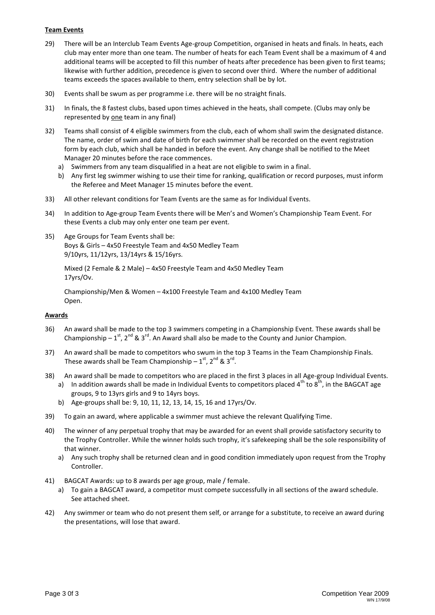#### **Team Events**

- 29) There will be an Interclub Team Events Age-group Competition, organised in heats and finals. In heats, each club may enter more than one team. The number of heats for each Team Event shall be a maximum of 4 and additional teams will be accepted to fill this number of heats after precedence has been given to first teams; likewise with further addition, precedence is given to second over third. Where the number of additional teams exceeds the spaces available to them, entry selection shall be by lot.
- 30) Events shall be swum as per programme i.e. there will be no straight finals.
- 31) In finals, the 8 fastest clubs, based upon times achieved in the heats, shall compete. (Clubs may only be represented by one team in any final)
- 32) Teams shall consist of 4 eligible swimmers from the club, each of whom shall swim the designated distance. The name, order of swim and date of birth for each swimmer shall be recorded on the event registration form by each club, which shall be handed in before the event. Any change shall be notified to the Meet Manager 20 minutes before the race commences.
	- a) Swimmers from any team disqualified in a heat are not eligible to swim in a final.
	- b) Any first leg swimmer wishing to use their time for ranking, qualification or record purposes, must inform the Referee and Meet Manager 15 minutes before the event.
- 33) All other relevant conditions for Team Events are the same as for Individual Events.
- 34) In addition to Age-group Team Events there will be Men's and Women's Championship Team Event. For these Events a club may only enter one team per event.
- 35) Age Groups for Team Events shall be: Boys & Girls – 4x50 Freestyle Team and 4x50 Medley Team 9/10yrs, 11/12yrs, 13/14yrs & 15/16yrs.

Mixed (2 Female & 2 Male) – 4x50 Freestyle Team and 4x50 Medley Team 17yrs/Ov.

Championship/Men & Women – 4x100 Freestyle Team and 4x100 Medley Team Open.

#### **Awards**

- 36) An award shall be made to the top 3 swimmers competing in a Championship Event. These awards shall be Championship –  $1^{st}$ ,  $2^{nd}$  &  $3^{rd}$ . An Award shall also be made to the County and Junior Champion.
- 37) An award shall be made to competitors who swum in the top 3 Teams in the Team Championship Finals. These awards shall be Team Championship –  $1<sup>st</sup>$ ,  $2<sup>nd</sup>$  &  $3<sup>rd</sup>$ .
- 38) An award shall be made to competitors who are placed in the first 3 places in all Age-group Individual Events.
	- a) In addition awards shall be made in Individual Events to competitors placed  $4^{th}$  to  $8^{th}$ , in the BAGCAT age groups, 9 to 13yrs girls and 9 to 14yrs boys.
	- b) Age-groups shall be: 9, 10, 11, 12, 13, 14, 15, 16 and 17yrs/Ov.
- 39) To gain an award, where applicable a swimmer must achieve the relevant Qualifying Time.
- 40) The winner of any perpetual trophy that may be awarded for an event shall provide satisfactory security to the Trophy Controller. While the winner holds such trophy, it's safekeeping shall be the sole responsibility of that winner.
	- a) Any such trophy shall be returned clean and in good condition immediately upon request from the Trophy Controller.
- 41) BAGCAT Awards: up to 8 awards per age group, male / female.
	- a) To gain a BAGCAT award, a competitor must compete successfully in all sections of the award schedule. See attached sheet.
- 42) Any swimmer or team who do not present them self, or arrange for a substitute, to receive an award during the presentations, will lose that award.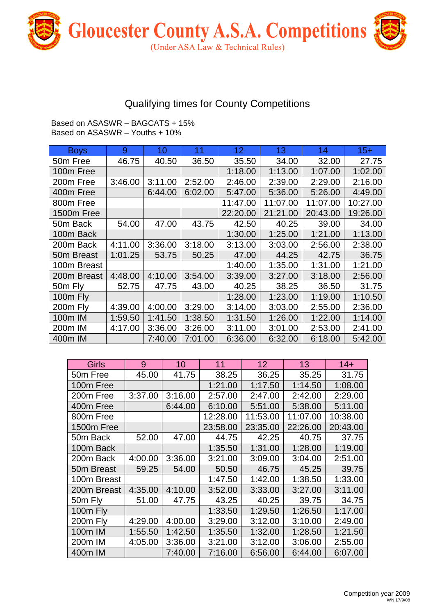

## Qualifying times for County Competitions

Based on ASASWR – BAGCATS + 15% Based on ASASWR – Youths + 10%

| <b>Boys</b>          | 9       | 10      | 11      | 12 <sub>2</sub> | 13       | 14       | $15+$    |
|----------------------|---------|---------|---------|-----------------|----------|----------|----------|
| 50 <sub>m</sub> Free | 46.75   | 40.50   | 36.50   | 35.50           | 34.00    | 32.00    | 27.75    |
| 100m Free            |         |         |         | 1:18.00         | 1:13.00  | 1:07.00  | 1:02.00  |
| 200m Free            | 3:46.00 | 3:11.00 | 2:52.00 | 2:46.00         | 2:39.00  | 2:29.00  | 2:16.00  |
| 400m Free            |         | 6:44.00 | 6:02.00 | 5:47.00         | 5:36.00  | 5:26.00  | 4:49.00  |
| 800m Free            |         |         |         | 11:47.00        | 11:07.00 | 11:07.00 | 10:27.00 |
| 1500m Free           |         |         |         | 22:20.00        | 21:21.00 | 20:43.00 | 19:26.00 |
| 50m Back             | 54.00   | 47.00   | 43.75   | 42.50           | 40.25    | 39.00    | 34.00    |
| 100m Back            |         |         |         | 1:30.00         | 1:25.00  | 1:21.00  | 1:13.00  |
| 200m Back            | 4:11.00 | 3:36.00 | 3:18.00 | 3:13.00         | 3:03.00  | 2:56.00  | 2:38.00  |
| 50m Breast           | 1:01.25 | 53.75   | 50.25   | 47.00           | 44.25    | 42.75    | 36.75    |
| 100m Breast          |         |         |         | 1:40.00         | 1:35.00  | 1:31.00  | 1:21.00  |
| 200m Breast          | 4:48.00 | 4:10.00 | 3:54.00 | 3:39.00         | 3:27.00  | 3:18.00  | 2:56.00  |
| 50m Fly              | 52.75   | 47.75   | 43.00   | 40.25           | 38.25    | 36.50    | 31.75    |
| 100m Fly             |         |         |         | 1:28.00         | 1:23.00  | 1:19.00  | 1:10.50  |
| 200m Fly             | 4:39.00 | 4:00.00 | 3:29.00 | 3:14.00         | 3:03.00  | 2:55.00  | 2:36.00  |
| 100m IM              | 1:59.50 | 1:41.50 | 1:38.50 | 1:31.50         | 1:26.00  | 1:22.00  | 1:14.00  |
| 200 <sub>m</sub> IM  | 4:17.00 | 3:36.00 | 3:26.00 | 3:11.00         | 3:01.00  | 2:53.00  | 2:41.00  |
| 400m IM              |         | 7:40.00 | 7:01.00 | 6:36.00         | 6:32.00  | 6:18.00  | 5:42.00  |

| <b>Girls</b>         | 9       | 10      | 11       | 12       | 13       | $14+$    |
|----------------------|---------|---------|----------|----------|----------|----------|
| 50 <sub>m</sub> Free | 45.00   | 41.75   | 38.25    | 36.25    | 35.25    | 31.75    |
| 100m Free            |         |         | 1:21.00  | 1:17.50  | 1:14.50  | 1:08.00  |
| 200m Free            | 3:37.00 | 3:16.00 | 2:57.00  | 2:47.00  | 2:42.00  | 2:29.00  |
| 400m Free            |         | 6:44.00 | 6:10.00  | 5:51.00  | 5:38.00  | 5:11.00  |
| 800m Free            |         |         | 12:28.00 | 11:53.00 | 11:07.00 | 10:38.00 |
| 1500m Free           |         |         | 23:58.00 | 23:35.00 | 22:26.00 | 20:43.00 |
| 50m Back             | 52.00   | 47.00   | 44.75    | 42.25    | 40.75    | 37.75    |
| 100m Back            |         |         | 1:35.50  | 1:31.00  | 1:28.00  | 1:19.00  |
| 200m Back            | 4:00.00 | 3:36.00 | 3:21.00  | 3:09.00  | 3:04.00  | 2:51.00  |
| 50m Breast           | 59.25   | 54.00   | 50.50    | 46.75    | 45.25    | 39.75    |
| 100m Breast          |         |         | 1:47.50  | 1:42.00  | 1:38.50  | 1:33.00  |
| 200m Breast          | 4:35.00 | 4:10.00 | 3:52.00  | 3:33.00  | 3:27.00  | 3:11.00  |
| 50m Fly              | 51.00   | 47.75   | 43.25    | 40.25    | 39.75    | 34.75    |
| 100m Fly             |         |         | 1:33.50  | 1:29.50  | 1:26.50  | 1:17.00  |
| 200m Fly             | 4:29.00 | 4:00.00 | 3:29.00  | 3:12.00  | 3:10.00  | 2:49.00  |
| 100m IM              | 1:55.50 | 1:42.50 | 1:35.50  | 1:32.00  | 1:28.50  | 1:21.50  |
| 200m IM              | 4:05.00 | 3:36.00 | 3:21.00  | 3:12.00  | 3:06.00  | 2:55.00  |
| 400m IM              |         | 7:40.00 | 7:16.00  | 6:56.00  | 6:44.00  | 6:07.00  |